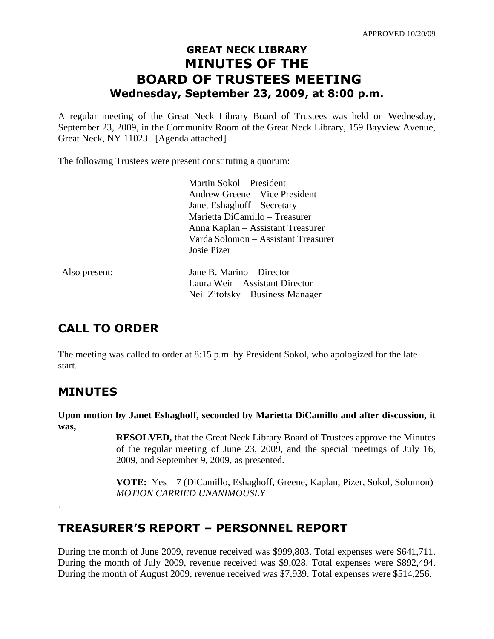## **GREAT NECK LIBRARY MINUTES OF THE BOARD OF TRUSTEES MEETING Wednesday, September 23, 2009, at 8:00 p.m.**

A regular meeting of the Great Neck Library Board of Trustees was held on Wednesday, September 23, 2009, in the Community Room of the Great Neck Library, 159 Bayview Avenue, Great Neck, NY 11023. [Agenda attached]

The following Trustees were present constituting a quorum:

|               | Martin Sokol – President            |
|---------------|-------------------------------------|
|               | Andrew Greene – Vice President      |
|               | Janet Eshaghoff – Secretary         |
|               | Marietta DiCamillo – Treasurer      |
|               | Anna Kaplan – Assistant Treasurer   |
|               | Varda Solomon - Assistant Treasurer |
|               | Josie Pizer                         |
| Also present: | Jane B. Marino – Director           |
|               | Laura Weir – Assistant Director     |
|               | Neil Zitofsky – Business Manager    |

## **CALL TO ORDER**

The meeting was called to order at 8:15 p.m. by President Sokol, who apologized for the late start.

## **MINUTES**

.

**Upon motion by Janet Eshaghoff, seconded by Marietta DiCamillo and after discussion, it was,**

> **RESOLVED,** that the Great Neck Library Board of Trustees approve the Minutes of the regular meeting of June 23, 2009, and the special meetings of July 16, 2009, and September 9, 2009, as presented.

> **VOTE:** Yes – 7 (DiCamillo, Eshaghoff, Greene, Kaplan, Pizer, Sokol, Solomon) *MOTION CARRIED UNANIMOUSLY*

## **TREASURER'S REPORT – PERSONNEL REPORT**

During the month of June 2009, revenue received was \$999,803. Total expenses were \$641,711. During the month of July 2009, revenue received was \$9,028. Total expenses were \$892,494. During the month of August 2009, revenue received was \$7,939. Total expenses were \$514,256.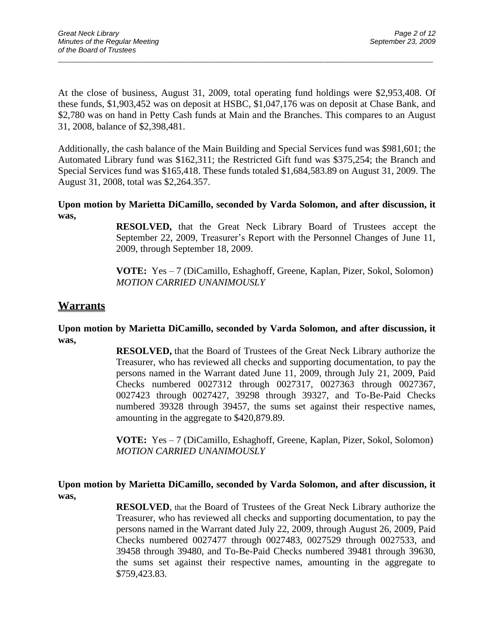At the close of business, August 31, 2009, total operating fund holdings were \$2,953,408. Of these funds, \$1,903,452 was on deposit at HSBC, \$1,047,176 was on deposit at Chase Bank, and \$2,780 was on hand in Petty Cash funds at Main and the Branches. This compares to an August 31, 2008, balance of \$2,398,481.

\_\_\_\_\_\_\_\_\_\_\_\_\_\_\_\_\_\_\_\_\_\_\_\_\_\_\_\_\_\_\_\_\_\_\_\_\_\_\_\_\_\_\_\_\_\_\_\_\_\_\_\_\_\_\_\_\_\_\_\_\_\_\_\_\_\_\_\_\_\_\_\_\_\_\_\_\_\_\_\_\_\_\_\_\_\_\_\_\_\_\_\_\_

Additionally, the cash balance of the Main Building and Special Services fund was \$981,601; the Automated Library fund was \$162,311; the Restricted Gift fund was \$375,254; the Branch and Special Services fund was \$165,418. These funds totaled \$1,684,583.89 on August 31, 2009. The August 31, 2008, total was \$2,264.357.

**Upon motion by Marietta DiCamillo, seconded by Varda Solomon, and after discussion, it was,**

> **RESOLVED,** that the Great Neck Library Board of Trustees accept the September 22, 2009, Treasurer's Report with the Personnel Changes of June 11, 2009, through September 18, 2009.

> **VOTE:** Yes – 7 (DiCamillo, Eshaghoff, Greene, Kaplan, Pizer, Sokol, Solomon) *MOTION CARRIED UNANIMOUSLY*

#### **Warrants**

**Upon motion by Marietta DiCamillo, seconded by Varda Solomon, and after discussion, it was,**

> **RESOLVED,** that the Board of Trustees of the Great Neck Library authorize the Treasurer, who has reviewed all checks and supporting documentation, to pay the persons named in the Warrant dated June 11, 2009, through July 21, 2009, Paid Checks numbered 0027312 through 0027317, 0027363 through 0027367, 0027423 through 0027427, 39298 through 39327, and To-Be-Paid Checks numbered 39328 through 39457, the sums set against their respective names, amounting in the aggregate to \$420,879.89.

> **VOTE:** Yes – 7 (DiCamillo, Eshaghoff, Greene, Kaplan, Pizer, Sokol, Solomon) *MOTION CARRIED UNANIMOUSLY*

**Upon motion by Marietta DiCamillo, seconded by Varda Solomon, and after discussion, it was,**

> **RESOLVED**, that the Board of Trustees of the Great Neck Library authorize the Treasurer, who has reviewed all checks and supporting documentation, to pay the persons named in the Warrant dated July 22, 2009, through August 26, 2009, Paid Checks numbered 0027477 through 0027483, 0027529 through 0027533, and 39458 through 39480, and To-Be-Paid Checks numbered 39481 through 39630, the sums set against their respective names, amounting in the aggregate to \$759,423.83.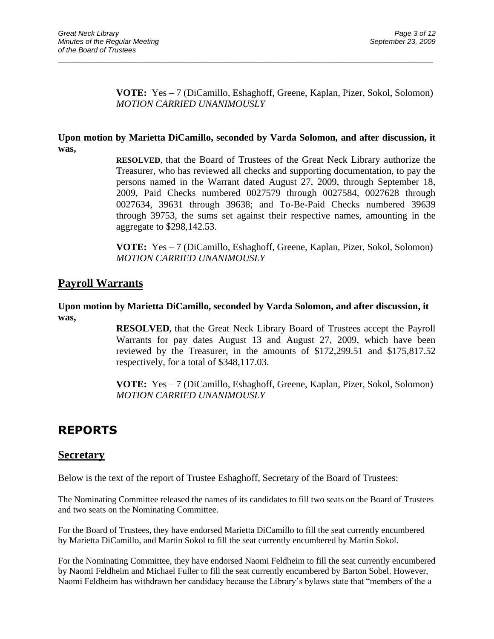**VOTE:** Yes – 7 (DiCamillo, Eshaghoff, Greene, Kaplan, Pizer, Sokol, Solomon) *MOTION CARRIED UNANIMOUSLY*

#### **Upon motion by Marietta DiCamillo, seconded by Varda Solomon, and after discussion, it was,**

\_\_\_\_\_\_\_\_\_\_\_\_\_\_\_\_\_\_\_\_\_\_\_\_\_\_\_\_\_\_\_\_\_\_\_\_\_\_\_\_\_\_\_\_\_\_\_\_\_\_\_\_\_\_\_\_\_\_\_\_\_\_\_\_\_\_\_\_\_\_\_\_\_\_\_\_\_\_\_\_\_\_\_\_\_\_\_\_\_\_\_\_\_

**RESOLVED**, that the Board of Trustees of the Great Neck Library authorize the Treasurer, who has reviewed all checks and supporting documentation, to pay the persons named in the Warrant dated August 27, 2009, through September 18, 2009, Paid Checks numbered 0027579 through 0027584, 0027628 through 0027634, 39631 through 39638; and To-Be-Paid Checks numbered 39639 through 39753, the sums set against their respective names, amounting in the aggregate to \$298,142.53.

**VOTE:** Yes – 7 (DiCamillo, Eshaghoff, Greene, Kaplan, Pizer, Sokol, Solomon) *MOTION CARRIED UNANIMOUSLY*

#### **Payroll Warrants**

#### **Upon motion by Marietta DiCamillo, seconded by Varda Solomon, and after discussion, it was,**

**RESOLVED,** that the Great Neck Library Board of Trustees accept the Payroll Warrants for pay dates August 13 and August 27, 2009, which have been reviewed by the Treasurer, in the amounts of \$172,299.51 and \$175,817.52 respectively, for a total of \$348,117.03.

**VOTE:** Yes – 7 (DiCamillo, Eshaghoff, Greene, Kaplan, Pizer, Sokol, Solomon) *MOTION CARRIED UNANIMOUSLY*

## **REPORTS**

#### **Secretary**

Below is the text of the report of Trustee Eshaghoff, Secretary of the Board of Trustees:

The Nominating Committee released the names of its candidates to fill two seats on the Board of Trustees and two seats on the Nominating Committee.

For the Board of Trustees, they have endorsed Marietta DiCamillo to fill the seat currently encumbered by Marietta DiCamillo, and Martin Sokol to fill the seat currently encumbered by Martin Sokol.

For the Nominating Committee, they have endorsed Naomi Feldheim to fill the seat currently encumbered by Naomi Feldheim and Michael Fuller to fill the seat currently encumbered by Barton Sobel. However, Naomi Feldheim has withdrawn her candidacy because the Library's bylaws state that "members of the a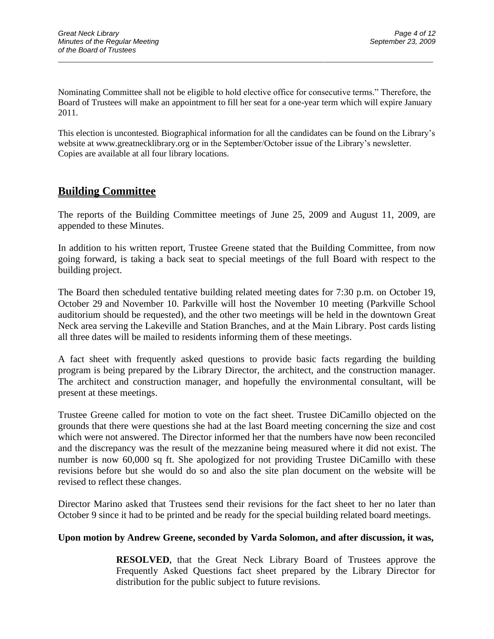Nominating Committee shall not be eligible to hold elective office for consecutive terms." Therefore, the Board of Trustees will make an appointment to fill her seat for a one-year term which will expire January 2011.

\_\_\_\_\_\_\_\_\_\_\_\_\_\_\_\_\_\_\_\_\_\_\_\_\_\_\_\_\_\_\_\_\_\_\_\_\_\_\_\_\_\_\_\_\_\_\_\_\_\_\_\_\_\_\_\_\_\_\_\_\_\_\_\_\_\_\_\_\_\_\_\_\_\_\_\_\_\_\_\_\_\_\_\_\_\_\_\_\_\_\_\_\_

This election is uncontested. Biographical information for all the candidates can be found on the Library's website at [www.greatnecklibrary.org](http://www.greatnecklibrary.org/) or in the September/October issue of the Library's newsletter. Copies are available at all four library locations.

### **Building Committee**

The reports of the Building Committee meetings of June 25, 2009 and August 11, 2009, are appended to these Minutes.

In addition to his written report, Trustee Greene stated that the Building Committee, from now going forward, is taking a back seat to special meetings of the full Board with respect to the building project.

The Board then scheduled tentative building related meeting dates for 7:30 p.m. on October 19, October 29 and November 10. Parkville will host the November 10 meeting (Parkville School auditorium should be requested), and the other two meetings will be held in the downtown Great Neck area serving the Lakeville and Station Branches, and at the Main Library. Post cards listing all three dates will be mailed to residents informing them of these meetings.

A fact sheet with frequently asked questions to provide basic facts regarding the building program is being prepared by the Library Director, the architect, and the construction manager. The architect and construction manager, and hopefully the environmental consultant, will be present at these meetings.

Trustee Greene called for motion to vote on the fact sheet. Trustee DiCamillo objected on the grounds that there were questions she had at the last Board meeting concerning the size and cost which were not answered. The Director informed her that the numbers have now been reconciled and the discrepancy was the result of the mezzanine being measured where it did not exist. The number is now 60,000 sq ft. She apologized for not providing Trustee DiCamillo with these revisions before but she would do so and also the site plan document on the website will be revised to reflect these changes.

Director Marino asked that Trustees send their revisions for the fact sheet to her no later than October 9 since it had to be printed and be ready for the special building related board meetings.

#### **Upon motion by Andrew Greene, seconded by Varda Solomon, and after discussion, it was,**

**RESOLVED,** that the Great Neck Library Board of Trustees approve the Frequently Asked Questions fact sheet prepared by the Library Director for distribution for the public subject to future revisions.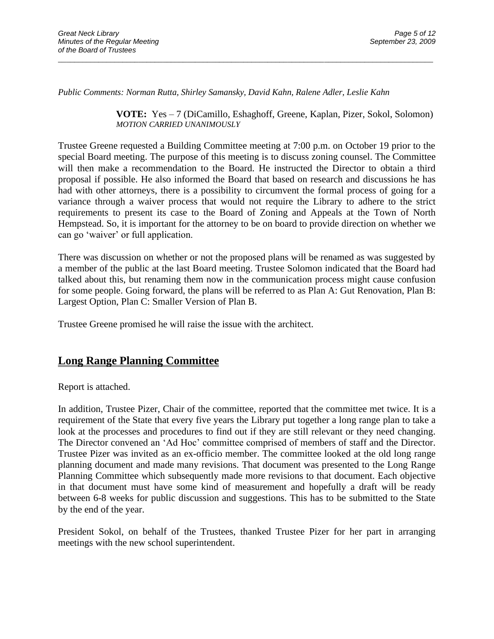*Public Comments: Norman Rutta, Shirley Samansky, David Kahn, Ralene Adler, Leslie Kahn*

\_\_\_\_\_\_\_\_\_\_\_\_\_\_\_\_\_\_\_\_\_\_\_\_\_\_\_\_\_\_\_\_\_\_\_\_\_\_\_\_\_\_\_\_\_\_\_\_\_\_\_\_\_\_\_\_\_\_\_\_\_\_\_\_\_\_\_\_\_\_\_\_\_\_\_\_\_\_\_\_\_\_\_\_\_\_\_\_\_\_\_\_\_

**VOTE:** Yes – 7 (DiCamillo, Eshaghoff, Greene, Kaplan, Pizer, Sokol, Solomon) *MOTION CARRIED UNANIMOUSLY*

Trustee Greene requested a Building Committee meeting at 7:00 p.m. on October 19 prior to the special Board meeting. The purpose of this meeting is to discuss zoning counsel. The Committee will then make a recommendation to the Board. He instructed the Director to obtain a third proposal if possible. He also informed the Board that based on research and discussions he has had with other attorneys, there is a possibility to circumvent the formal process of going for a variance through a waiver process that would not require the Library to adhere to the strict requirements to present its case to the Board of Zoning and Appeals at the Town of North Hempstead. So, it is important for the attorney to be on board to provide direction on whether we can go 'waiver' or full application.

There was discussion on whether or not the proposed plans will be renamed as was suggested by a member of the public at the last Board meeting. Trustee Solomon indicated that the Board had talked about this, but renaming them now in the communication process might cause confusion for some people. Going forward, the plans will be referred to as Plan A: Gut Renovation, Plan B: Largest Option, Plan C: Smaller Version of Plan B.

Trustee Greene promised he will raise the issue with the architect.

### **Long Range Planning Committee**

Report is attached.

In addition, Trustee Pizer, Chair of the committee, reported that the committee met twice. It is a requirement of the State that every five years the Library put together a long range plan to take a look at the processes and procedures to find out if they are still relevant or they need changing. The Director convened an 'Ad Hoc' committee comprised of members of staff and the Director. Trustee Pizer was invited as an ex-officio member. The committee looked at the old long range planning document and made many revisions. That document was presented to the Long Range Planning Committee which subsequently made more revisions to that document. Each objective in that document must have some kind of measurement and hopefully a draft will be ready between 6-8 weeks for public discussion and suggestions. This has to be submitted to the State by the end of the year.

President Sokol, on behalf of the Trustees, thanked Trustee Pizer for her part in arranging meetings with the new school superintendent.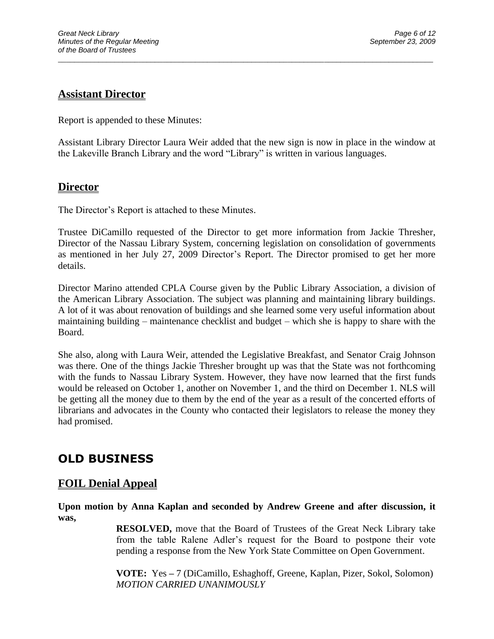### **Assistant Director**

Report is appended to these Minutes:

Assistant Library Director Laura Weir added that the new sign is now in place in the window at the Lakeville Branch Library and the word "Library" is written in various languages.

\_\_\_\_\_\_\_\_\_\_\_\_\_\_\_\_\_\_\_\_\_\_\_\_\_\_\_\_\_\_\_\_\_\_\_\_\_\_\_\_\_\_\_\_\_\_\_\_\_\_\_\_\_\_\_\_\_\_\_\_\_\_\_\_\_\_\_\_\_\_\_\_\_\_\_\_\_\_\_\_\_\_\_\_\_\_\_\_\_\_\_\_\_

#### **Director**

The Director's Report is attached to these Minutes.

Trustee DiCamillo requested of the Director to get more information from Jackie Thresher, Director of the Nassau Library System, concerning legislation on consolidation of governments as mentioned in her July 27, 2009 Director's Report. The Director promised to get her more details.

Director Marino attended CPLA Course given by the Public Library Association, a division of the American Library Association. The subject was planning and maintaining library buildings. A lot of it was about renovation of buildings and she learned some very useful information about maintaining building – maintenance checklist and budget – which she is happy to share with the Board.

She also, along with Laura Weir, attended the Legislative Breakfast, and Senator Craig Johnson was there. One of the things Jackie Thresher brought up was that the State was not forthcoming with the funds to Nassau Library System. However, they have now learned that the first funds would be released on October 1, another on November 1, and the third on December 1. NLS will be getting all the money due to them by the end of the year as a result of the concerted efforts of librarians and advocates in the County who contacted their legislators to release the money they had promised.

## **OLD BUSINESS**

### **FOIL Denial Appeal**

**Upon motion by Anna Kaplan and seconded by Andrew Greene and after discussion, it was,**

> **RESOLVED,** move that the Board of Trustees of the Great Neck Library take from the table Ralene Adler's request for the Board to postpone their vote pending a response from the New York State Committee on Open Government.

> **VOTE:** Yes **–** 7 (DiCamillo, Eshaghoff, Greene, Kaplan, Pizer, Sokol, Solomon) *MOTION CARRIED UNANIMOUSLY*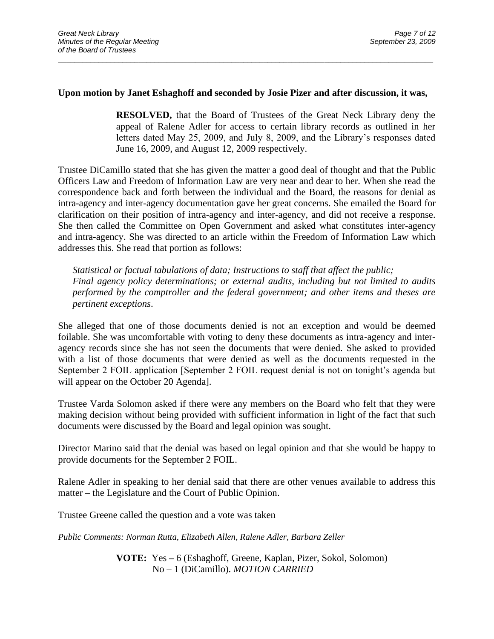#### **Upon motion by Janet Eshaghoff and seconded by Josie Pizer and after discussion, it was,**

\_\_\_\_\_\_\_\_\_\_\_\_\_\_\_\_\_\_\_\_\_\_\_\_\_\_\_\_\_\_\_\_\_\_\_\_\_\_\_\_\_\_\_\_\_\_\_\_\_\_\_\_\_\_\_\_\_\_\_\_\_\_\_\_\_\_\_\_\_\_\_\_\_\_\_\_\_\_\_\_\_\_\_\_\_\_\_\_\_\_\_\_\_

**RESOLVED,** that the Board of Trustees of the Great Neck Library deny the appeal of Ralene Adler for access to certain library records as outlined in her letters dated May 25, 2009, and July 8, 2009, and the Library's responses dated June 16, 2009, and August 12, 2009 respectively.

Trustee DiCamillo stated that she has given the matter a good deal of thought and that the Public Officers Law and Freedom of Information Law are very near and dear to her. When she read the correspondence back and forth between the individual and the Board, the reasons for denial as intra-agency and inter-agency documentation gave her great concerns. She emailed the Board for clarification on their position of intra-agency and inter-agency, and did not receive a response. She then called the Committee on Open Government and asked what constitutes inter-agency and intra-agency. She was directed to an article within the Freedom of Information Law which addresses this. She read that portion as follows:

*Statistical or factual tabulations of data; Instructions to staff that affect the public; Final agency policy determinations; or external audits, including but not limited to audits performed by the comptroller and the federal government; and other items and theses are pertinent exceptions*.

She alleged that one of those documents denied is not an exception and would be deemed foilable. She was uncomfortable with voting to deny these documents as intra-agency and interagency records since she has not seen the documents that were denied. She asked to provided with a list of those documents that were denied as well as the documents requested in the September 2 FOIL application [September 2 FOIL request denial is not on tonight's agenda but will appear on the October 20 Agenda].

Trustee Varda Solomon asked if there were any members on the Board who felt that they were making decision without being provided with sufficient information in light of the fact that such documents were discussed by the Board and legal opinion was sought.

Director Marino said that the denial was based on legal opinion and that she would be happy to provide documents for the September 2 FOIL.

Ralene Adler in speaking to her denial said that there are other venues available to address this matter – the Legislature and the Court of Public Opinion.

Trustee Greene called the question and a vote was taken

*Public Comments: Norman Rutta, Elizabeth Allen, Ralene Adler, Barbara Zeller*

**VOTE:** Yes **–** 6 (Eshaghoff, Greene, Kaplan, Pizer, Sokol, Solomon) No – 1 (DiCamillo). *MOTION CARRIED*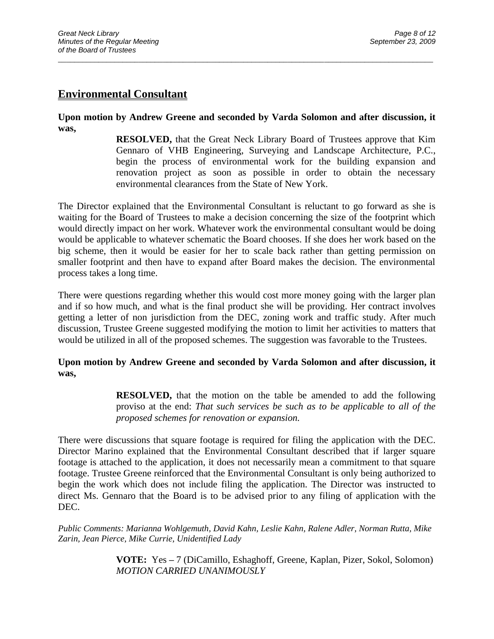### **Environmental Consultant**

**Upon motion by Andrew Greene and seconded by Varda Solomon and after discussion, it was,**

\_\_\_\_\_\_\_\_\_\_\_\_\_\_\_\_\_\_\_\_\_\_\_\_\_\_\_\_\_\_\_\_\_\_\_\_\_\_\_\_\_\_\_\_\_\_\_\_\_\_\_\_\_\_\_\_\_\_\_\_\_\_\_\_\_\_\_\_\_\_\_\_\_\_\_\_\_\_\_\_\_\_\_\_\_\_\_\_\_\_\_\_\_

**RESOLVED,** that the Great Neck Library Board of Trustees approve that Kim Gennaro of VHB Engineering, Surveying and Landscape Architecture, P.C., begin the process of environmental work for the building expansion and renovation project as soon as possible in order to obtain the necessary environmental clearances from the State of New York.

The Director explained that the Environmental Consultant is reluctant to go forward as she is waiting for the Board of Trustees to make a decision concerning the size of the footprint which would directly impact on her work. Whatever work the environmental consultant would be doing would be applicable to whatever schematic the Board chooses. If she does her work based on the big scheme, then it would be easier for her to scale back rather than getting permission on smaller footprint and then have to expand after Board makes the decision. The environmental process takes a long time.

There were questions regarding whether this would cost more money going with the larger plan and if so how much, and what is the final product she will be providing. Her contract involves getting a letter of non jurisdiction from the DEC, zoning work and traffic study. After much discussion, Trustee Greene suggested modifying the motion to limit her activities to matters that would be utilized in all of the proposed schemes. The suggestion was favorable to the Trustees.

#### **Upon motion by Andrew Greene and seconded by Varda Solomon and after discussion, it was,**

**RESOLVED,** that the motion on the table be amended to add the following proviso at the end: *That such services be such as to be applicable to all of the proposed schemes for renovation or expansion.*

There were discussions that square footage is required for filing the application with the DEC. Director Marino explained that the Environmental Consultant described that if larger square footage is attached to the application, it does not necessarily mean a commitment to that square footage. Trustee Greene reinforced that the Environmental Consultant is only being authorized to begin the work which does not include filing the application. The Director was instructed to direct Ms. Gennaro that the Board is to be advised prior to any filing of application with the DEC.

*Public Comments: Marianna Wohlgemuth, David Kahn, Leslie Kahn, Ralene Adler, Norman Rutta, Mike Zarin, Jean Pierce, Mike Currie, Unidentified Lady*

> **VOTE:** Yes **–** 7 (DiCamillo, Eshaghoff, Greene, Kaplan, Pizer, Sokol, Solomon) *MOTION CARRIED UNANIMOUSLY*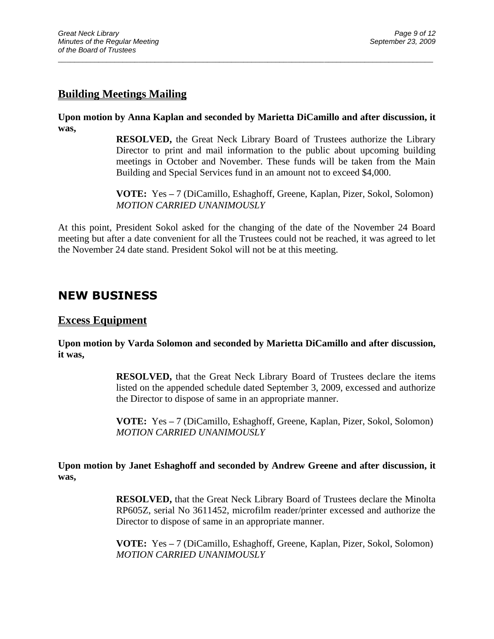### **Building Meetings Mailing**

**Upon motion by Anna Kaplan and seconded by Marietta DiCamillo and after discussion, it was,**

\_\_\_\_\_\_\_\_\_\_\_\_\_\_\_\_\_\_\_\_\_\_\_\_\_\_\_\_\_\_\_\_\_\_\_\_\_\_\_\_\_\_\_\_\_\_\_\_\_\_\_\_\_\_\_\_\_\_\_\_\_\_\_\_\_\_\_\_\_\_\_\_\_\_\_\_\_\_\_\_\_\_\_\_\_\_\_\_\_\_\_\_\_

**RESOLVED,** the Great Neck Library Board of Trustees authorize the Library Director to print and mail information to the public about upcoming building meetings in October and November. These funds will be taken from the Main Building and Special Services fund in an amount not to exceed \$4,000.

**VOTE:** Yes **–** 7 (DiCamillo, Eshaghoff, Greene, Kaplan, Pizer, Sokol, Solomon) *MOTION CARRIED UNANIMOUSLY*

At this point, President Sokol asked for the changing of the date of the November 24 Board meeting but after a date convenient for all the Trustees could not be reached, it was agreed to let the November 24 date stand. President Sokol will not be at this meeting.

## **NEW BUSINESS**

#### **Excess Equipment**

**Upon motion by Varda Solomon and seconded by Marietta DiCamillo and after discussion, it was,**

> **RESOLVED,** that the Great Neck Library Board of Trustees declare the items listed on the appended schedule dated September 3, 2009, excessed and authorize the Director to dispose of same in an appropriate manner.

> **VOTE:** Yes **–** 7 (DiCamillo, Eshaghoff, Greene, Kaplan, Pizer, Sokol, Solomon) *MOTION CARRIED UNANIMOUSLY*

**Upon motion by Janet Eshaghoff and seconded by Andrew Greene and after discussion, it was,**

> **RESOLVED,** that the Great Neck Library Board of Trustees declare the Minolta RP605Z, serial No 3611452, microfilm reader/printer excessed and authorize the Director to dispose of same in an appropriate manner.

> **VOTE:** Yes **–** 7 (DiCamillo, Eshaghoff, Greene, Kaplan, Pizer, Sokol, Solomon) *MOTION CARRIED UNANIMOUSLY*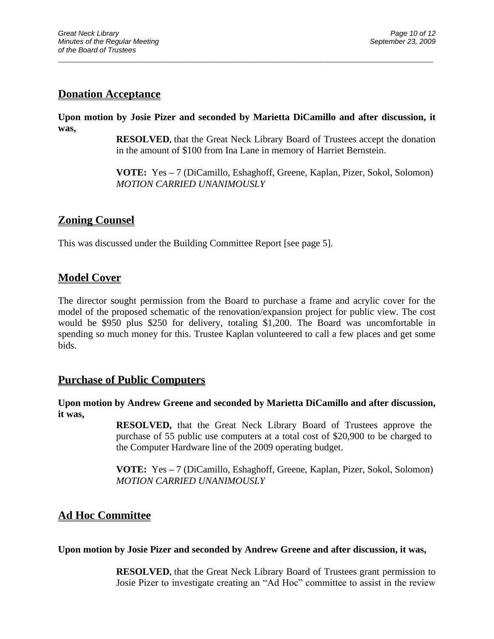### **Donation Acceptance**

**Upon motion by Josie Pizer and seconded by Marietta DiCamillo and after discussion, it was,**

\_\_\_\_\_\_\_\_\_\_\_\_\_\_\_\_\_\_\_\_\_\_\_\_\_\_\_\_\_\_\_\_\_\_\_\_\_\_\_\_\_\_\_\_\_\_\_\_\_\_\_\_\_\_\_\_\_\_\_\_\_\_\_\_\_\_\_\_\_\_\_\_\_\_\_\_\_\_\_\_\_\_\_\_\_\_\_\_\_\_\_\_\_

**RESOLVED,** that the Great Neck Library Board of Trustees accept the donation in the amount of \$100 from Ina Lane in memory of Harriet Bernstein.

**VOTE:** Yes **–** 7 (DiCamillo, Eshaghoff, Greene, Kaplan, Pizer, Sokol, Solomon) *MOTION CARRIED UNANIMOUSLY*

#### **Zoning Counsel**

This was discussed under the Building Committee Report [see page 5].

#### **Model Cover**

The director sought permission from the Board to purchase a frame and acrylic cover for the model of the proposed schematic of the renovation/expansion project for public view. The cost would be \$950 plus \$250 for delivery, totaling \$1,200. The Board was uncomfortable in spending so much money for this. Trustee Kaplan volunteered to call a few places and get some bids.

#### **Purchase of Public Computers**

**Upon motion by Andrew Greene and seconded by Marietta DiCamillo and after discussion, it was,**

> **RESOLVED,** that the Great Neck Library Board of Trustees approve the purchase of 55 public use computers at a total cost of \$20,900 to be charged to the Computer Hardware line of the 2009 operating budget.

> **VOTE:** Yes **–** 7 (DiCamillo, Eshaghoff, Greene, Kaplan, Pizer, Sokol, Solomon) *MOTION CARRIED UNANIMOUSLY*

### **Ad Hoc Committee**

#### **Upon motion by Josie Pizer and seconded by Andrew Greene and after discussion, it was,**

**RESOLVED,** that the Great Neck Library Board of Trustees grant permission to Josie Pizer to investigate creating an "Ad Hoc" committee to assist in the review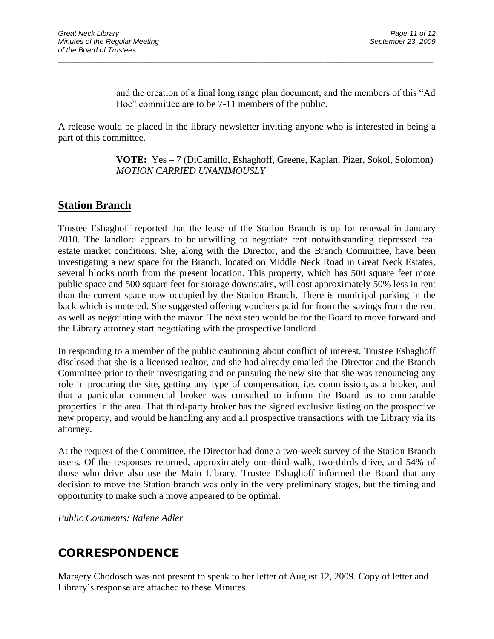and the creation of a final long range plan document; and the members of this "Ad Hoc" committee are to be 7-11 members of the public.

A release would be placed in the library newsletter inviting anyone who is interested in being a part of this committee.

\_\_\_\_\_\_\_\_\_\_\_\_\_\_\_\_\_\_\_\_\_\_\_\_\_\_\_\_\_\_\_\_\_\_\_\_\_\_\_\_\_\_\_\_\_\_\_\_\_\_\_\_\_\_\_\_\_\_\_\_\_\_\_\_\_\_\_\_\_\_\_\_\_\_\_\_\_\_\_\_\_\_\_\_\_\_\_\_\_\_\_\_\_

**VOTE:** Yes **–** 7 (DiCamillo, Eshaghoff, Greene, Kaplan, Pizer, Sokol, Solomon) *MOTION CARRIED UNANIMOUSLY*

### **Station Branch**

Trustee Eshaghoff reported that the lease of the Station Branch is up for renewal in January 2010. The landlord appears to be unwilling to negotiate rent notwithstanding depressed real estate market conditions. She, along with the Director, and the Branch Committee, have been investigating a new space for the Branch, located on Middle Neck Road in Great Neck Estates, several blocks north from the present location. This property, which has 500 square feet more public space and 500 square feet for storage downstairs, will cost approximately 50% less in rent than the current space now occupied by the Station Branch. There is municipal parking in the back which is metered. She suggested offering vouchers paid for from the savings from the rent as well as negotiating with the mayor. The next step would be for the Board to move forward and the Library attorney start negotiating with the prospective landlord.

In responding to a member of the public cautioning about conflict of interest, Trustee Eshaghoff disclosed that she is a licensed realtor, and she had already emailed the Director and the Branch Committee prior to their investigating and or pursuing the new site that she was renouncing any role in procuring the site, getting any type of compensation, i.e. commission, as a broker, and that a particular commercial broker was consulted to inform the Board as to comparable properties in the area. That third-party broker has the signed exclusive listing on the prospective new property, and would be handling any and all prospective transactions with the Library via its attorney.

At the request of the Committee, the Director had done a two-week survey of the Station Branch users. Of the responses returned, approximately one-third walk, two-thirds drive, and 54% of those who drive also use the Main Library. Trustee Eshaghoff informed the Board that any decision to move the Station branch was only in the very preliminary stages, but the timing and opportunity to make such a move appeared to be optimal.

*Public Comments: Ralene Adler*

## **CORRESPONDENCE**

Margery Chodosch was not present to speak to her letter of August 12, 2009. Copy of letter and Library's response are attached to these Minutes.